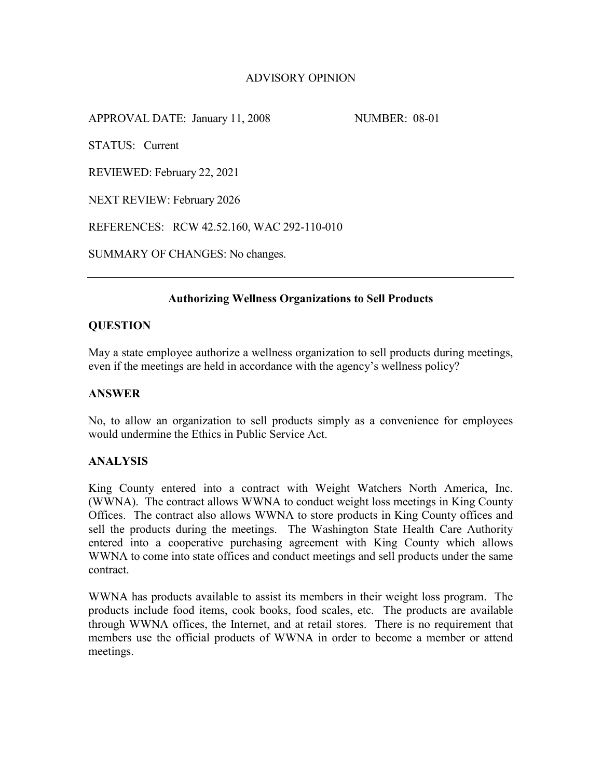# ADVISORY OPINION

APPROVAL DATE: January 11, 2008 NUMBER: 08-01

STATUS: Current

REVIEWED: February 22, 2021

NEXT REVIEW: February 2026

REFERENCES: RCW 42.52.160, WAC 292-110-010

SUMMARY OF CHANGES: No changes.

### **Authorizing Wellness Organizations to Sell Products**

#### **QUESTION**

May a state employee authorize a wellness organization to sell products during meetings, even if the meetings are held in accordance with the agency's wellness policy?

## **ANSWER**

No, to allow an organization to sell products simply as a convenience for employees would undermine the Ethics in Public Service Act.

#### **ANALYSIS**

King County entered into a contract with Weight Watchers North America, Inc. (WWNA). The contract allows WWNA to conduct weight loss meetings in King County Offices. The contract also allows WWNA to store products in King County offices and sell the products during the meetings. The Washington State Health Care Authority entered into a cooperative purchasing agreement with King County which allows WWNA to come into state offices and conduct meetings and sell products under the same contract.

WWNA has products available to assist its members in their weight loss program. The products include food items, cook books, food scales, etc. The products are available through WWNA offices, the Internet, and at retail stores. There is no requirement that members use the official products of WWNA in order to become a member or attend meetings.